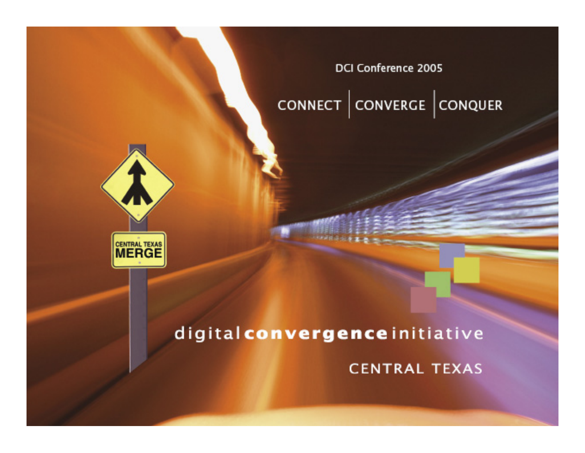DCI Conference 2005

### CONNECT CONVERGE CONQUER



#### digital convergence initiative

**CENTRAL TEXAS**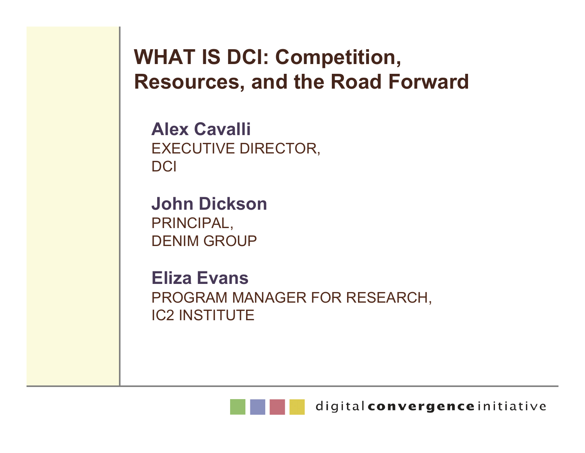**WHAT IS DCI: Competition, Resources, and the Road Forward**

**Alex Cavalli**EXECUTIVE DIRECTOR, DCI

**John Dickson**PRINCIPAL, DENIM GROUP

**Eliza Evans**PROGRAM MANAGER FOR RESEARCH, IC2 INSTITUTE



digital convergence initiative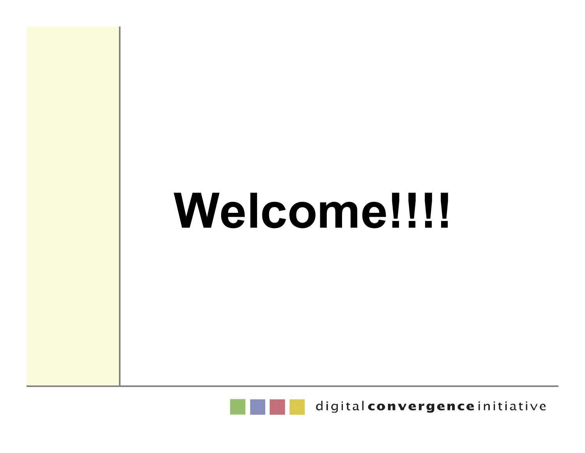## **Welcome!!!!**



digital convergence initiative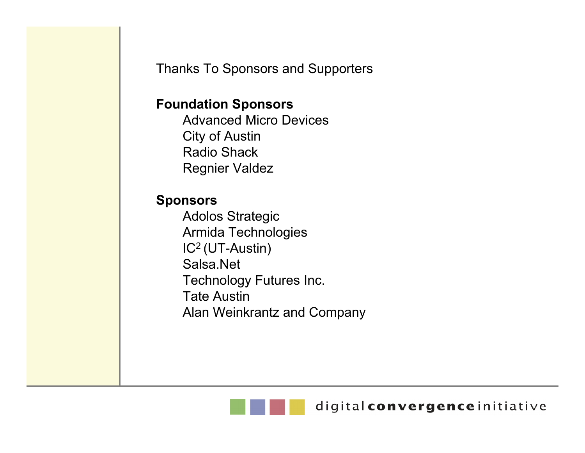Thanks To Sponsors and Supporters

#### **Foundation Sponsors**

Advanced Micro DevicesCity of Austin Radio ShackRegnier Valdez

#### **Sponsors**

Adolos Strategic Armida Technologies IC2 (UT-Austin) Salsa.NetTechnology Futures Inc. Tate AustinAlan Weinkrantz and Company

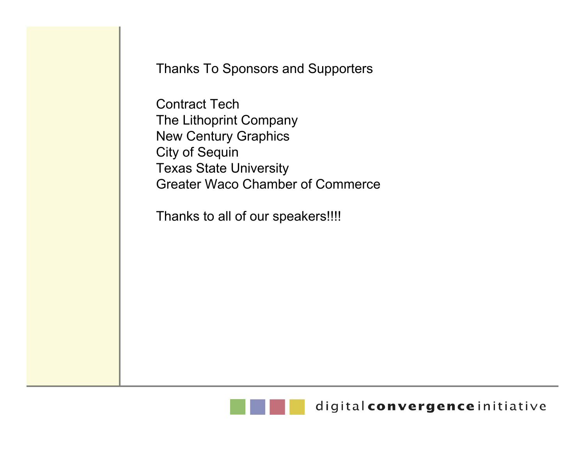Thanks To Sponsors and Supporters

Contract TechThe Lithoprint Company New Century Graphics City of Sequin Texas State University Greater Waco Chamber of Commerce

Thanks to all of our speakers!!!!

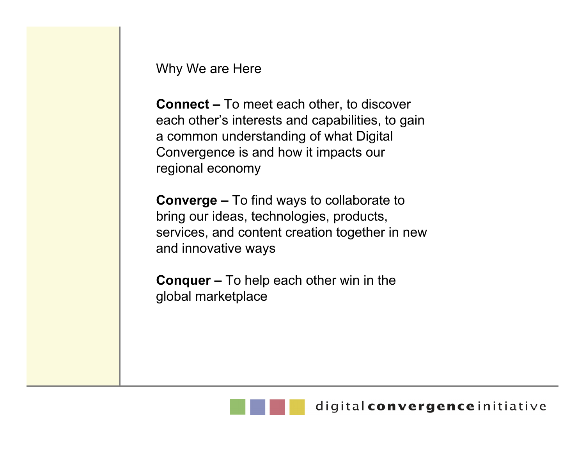Why We are Here

**Connect –** To meet each other, to discover each other's interests and capabilities, to gain a common understanding of what Digital Convergence is and how it impacts our regional economy

**Converge –** To find ways to collaborate to bring our ideas, technologies, products, services, and content creation together in new and innovative ways

**Conquer –** To help each other win in the global marketplace

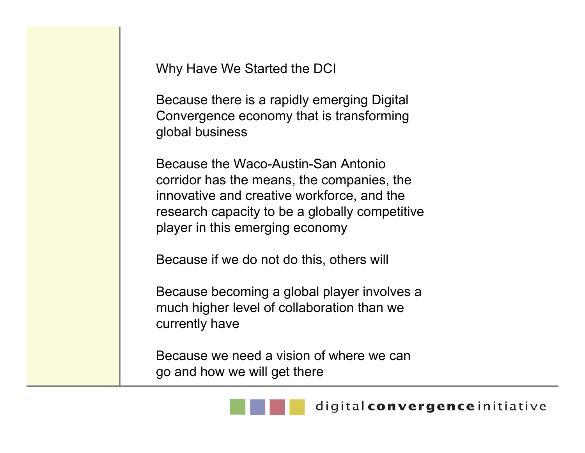Why Have We Started the DCI

Because there is a rapidly emerging Digital Convergence economy that is transforming global business

Because the Waco-Austin-San Antonio corridor has the means, the companies, the innovative and creative workforce, and the research capacity to be a globally competitive player in this emerging economy

Because if we do not do this, others will

Because becoming a global player involves a much higher level of collaboration than we currently have

Because we need a vision of where we can go and how we will get there

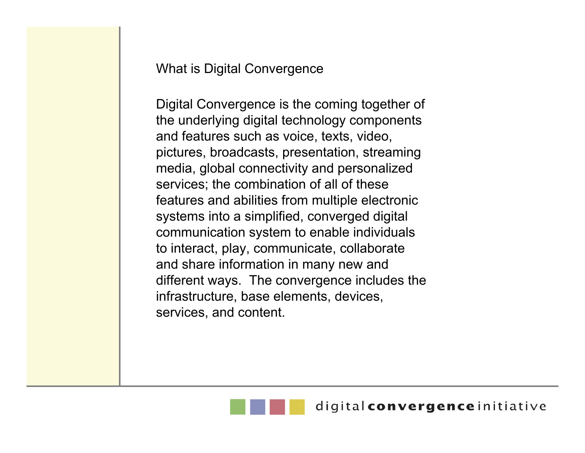What is Digital Convergence

Digital Convergence is the coming together of the underlying digital technology components and features such as voice, texts, video, pictures, broadcasts, presentation, streaming media, global connectivity and personalized services; the combination of all of these features and abilities from multiple electronic systems into a simplified, converged digital communication system to enable individuals to interact, play, communicate, collaborate and share information in many new and different ways. The convergence includes the infrastructure, base elements, devices, services, and content.

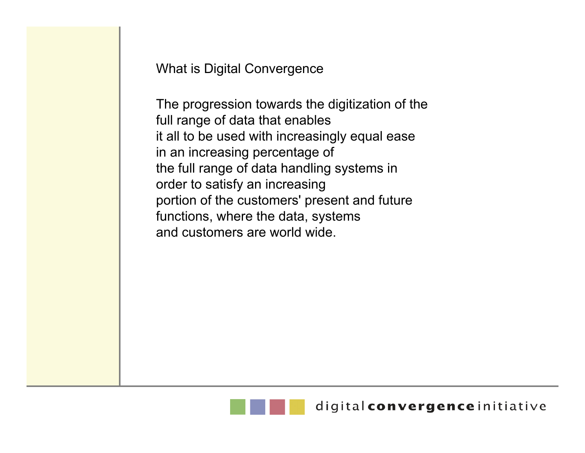What is Digital Convergence

The progression towards the digitization of the full range of data that enables it all to be used with increasingly equal ease in an increasing percentage of the full range of data handling systems in order to satisfy an increasing portion of the customers' present and future functions, where the data, systems and customers are world wide.

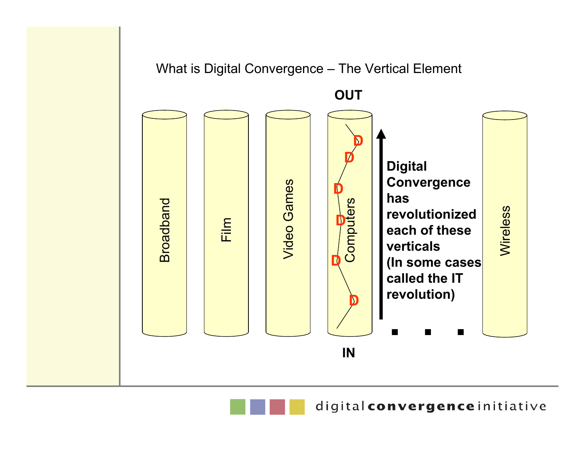

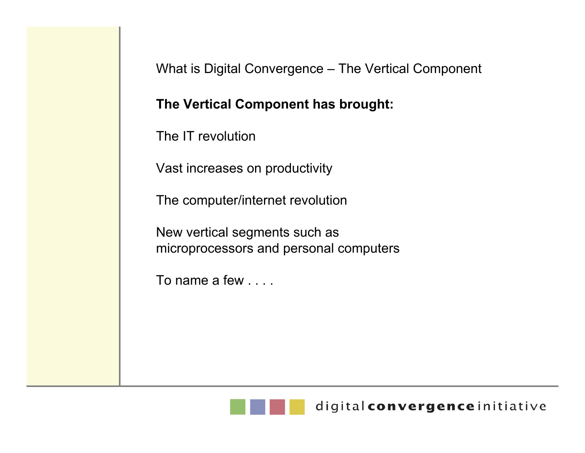What is Digital Convergence – The Vertical Component

#### **The Vertical Component has brought:**

The IT revolution

Vast increases on productivity

The computer/internet revolution

New vertical segments such as microprocessors and personal computers

To name a few . . . .

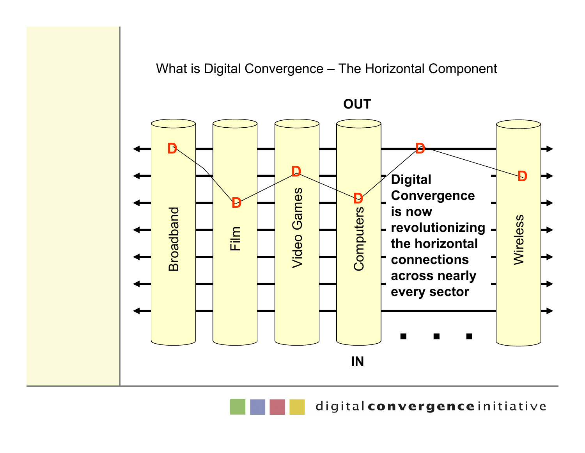#### What is Digital Convergence – The Horizontal Component



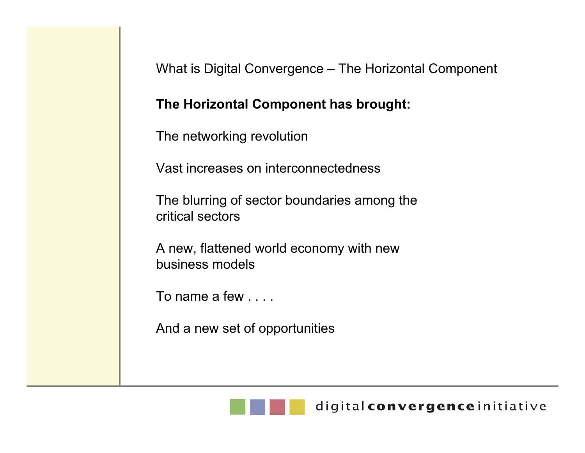What is Digital Convergence – The Horizontal Component

#### **The Horizontal Component has brought:**

The networking revolution

Vast increases on interconnectedness

The blurring of sector boundaries among the critical sectors

A new, flattened world economy with new business models

To name a few . . . .

And a new set of opportunities

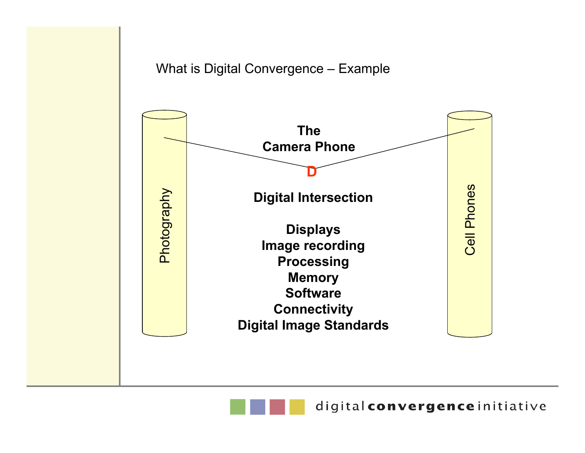#### What is Digital Convergence – Example



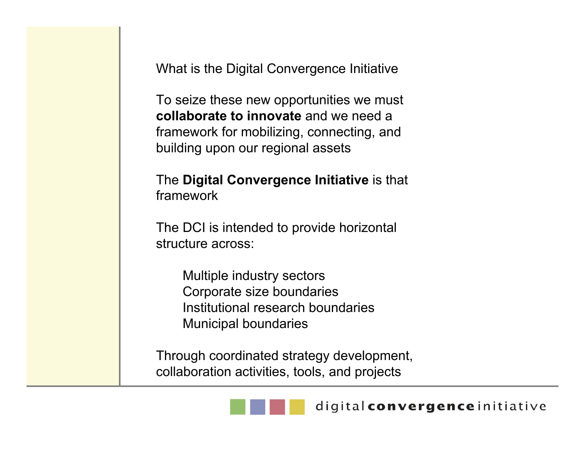What is the Digital Convergence Initiative

To seize these new opportunities we must **collaborate to innovate** and we need a framework for mobilizing, connecting, and building upon our regional assets

#### The **Digital Convergence Initiative** is that framework

The DCI is intended to provide horizontal structure across:

> Multiple industry sectors Corporate size boundaries Institutional research boundariesMunicipal boundaries

Through coordinated strategy development, collaboration activities, tools, and projects

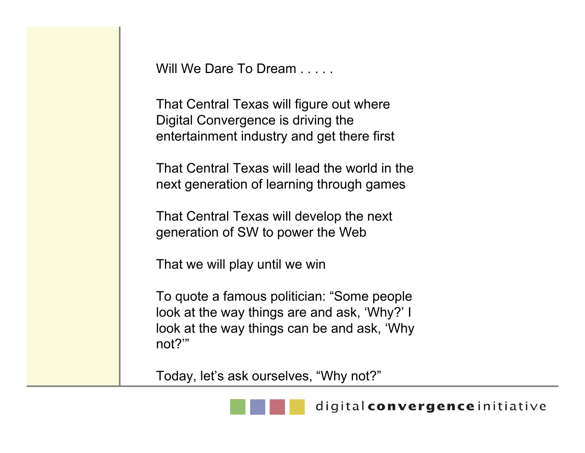Will We Dare To Dream

That Central Texas will figure out where Digital Convergence is driving the entertainment industry and get there first

That Central Texas will lead the world in the next generation of learning through games

That Central Texas will develop the next generation of SW to power the Web

That we will play until we win

To quote a famous politician: "Some people look at the way things are and ask, 'Why?' I look at the way things can be and ask, 'Why not?'"

Today, let's ask ourselves, "Why not?"

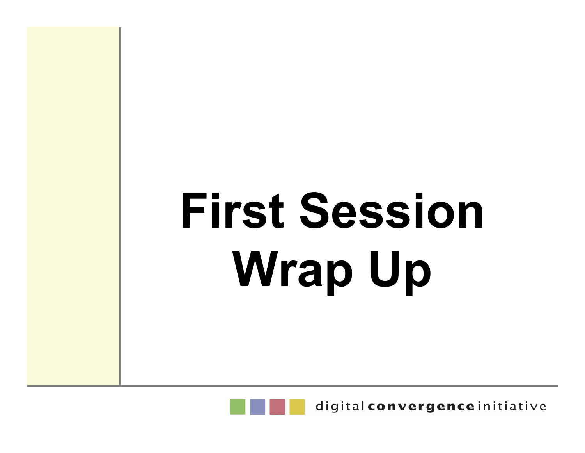# **First Session Wrap Up**



digital convergence initiative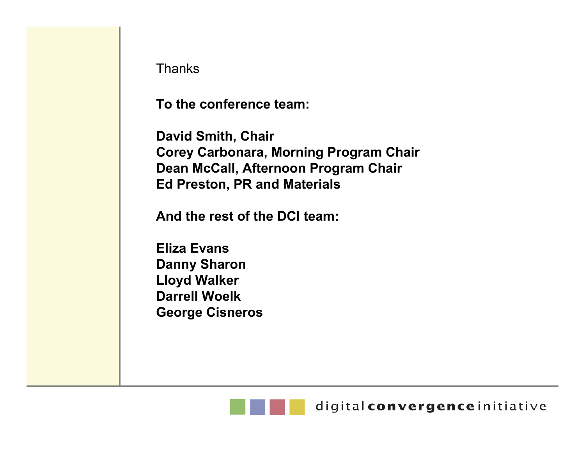**Thanks** 

**To the conference team:**

**David Smith, Chair Corey Carbonara, Morning Program Chair Dean McCall, Afternoon Program Chair Ed Preston, PR and Materials**

**And the rest of the DCI team:**

**Eliza EvansDanny Sharon Lloyd Walker Darrell WoelkGeorge Cisneros**

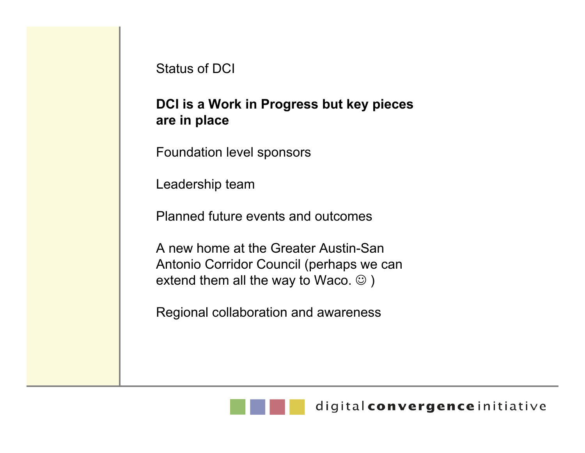#### Status of DCI

#### **DCI is a Work in Progress but key pieces are in place**

Foundation level sponsors

Leadership team

Planned future events and outcomes

A new home at the Greater Austin-San Antonio Corridor Council (perhaps we can extend them all the way to Waco.  $\odot$ )

Regional collaboration and awareness

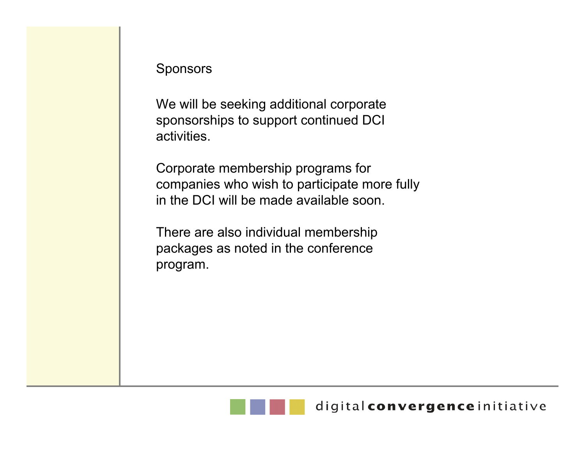#### Sponsors

We will be seeking additional corporate sponsorships to support continued DCI activities.

Corporate membership programs for companies who wish to participate more fully in the DCI will be made available soon.

There are also individual membership packages as noted in the conference program.

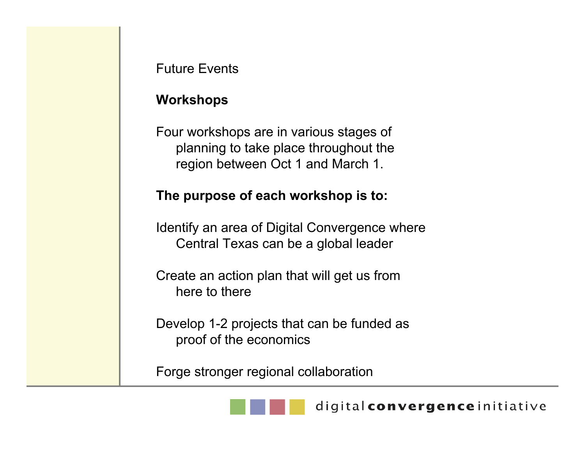#### **Workshops**

Four workshops are in various stages of planning to take place throughout the region between Oct 1 and March 1.

#### **The purpose of each workshop is to:**

Identify an area of Digital Convergence where Central Texas can be a global leader

Create an action plan that will get us from here to there

Develop 1-2 projects that can be funded as proof of the economics

Forge stronger regional collaboration

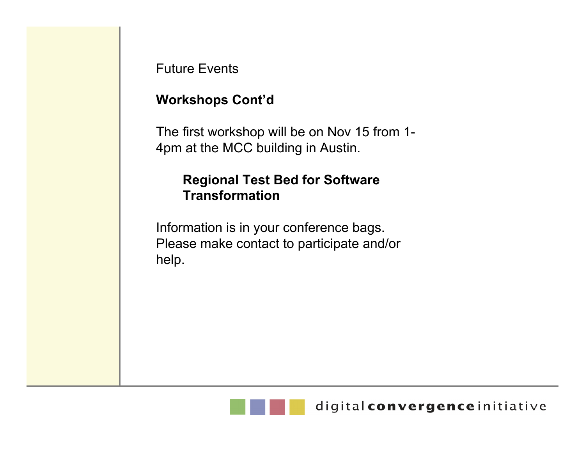#### **Workshops Cont'd**

The first workshop will be on Nov 15 from 1- 4pm at the MCC building in Austin.

#### **Regional Test Bed for Software Transformation**

Information is in your conference bags. Please make contact to participate and/or help.

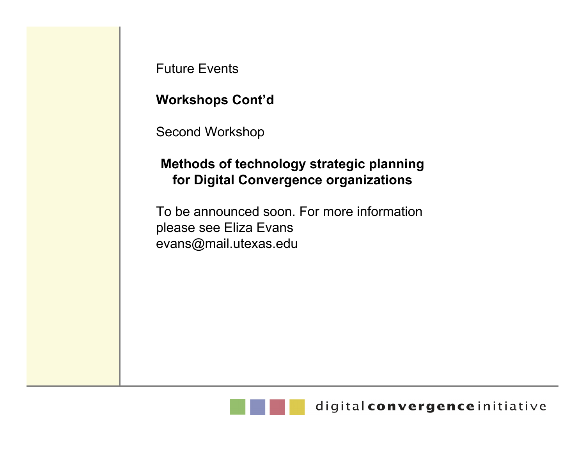**Workshops Cont'd**

Second Workshop

#### **Methods of technology strategic planning for Digital Convergence organizations**

To be announced soon. For more information please see Eliza Evans evans@mail.utexas.edu

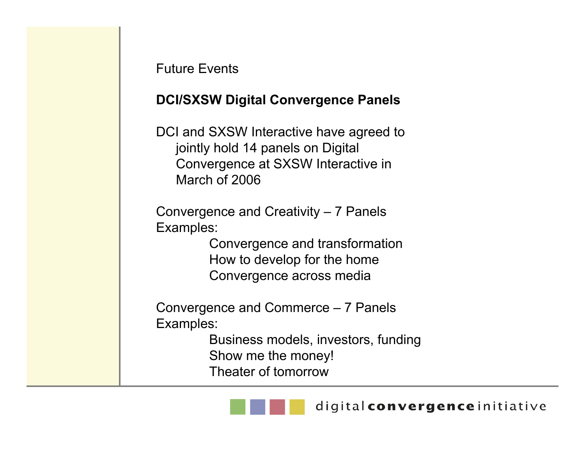#### **DCI/SXSW Digital Convergence Panels**

DCI and SXSW Interactive have agreed to jointly hold 14 panels on Digital Convergence at SXSW Interactive in March of 2006

Convergence and Creativity – 7 Panels Examples:

> Convergence and transformation How to develop for the home Convergence across media

Convergence and Commerce – 7 Panels Examples:

> Business models, investors, funding Show me the money! Theater of tomorrow

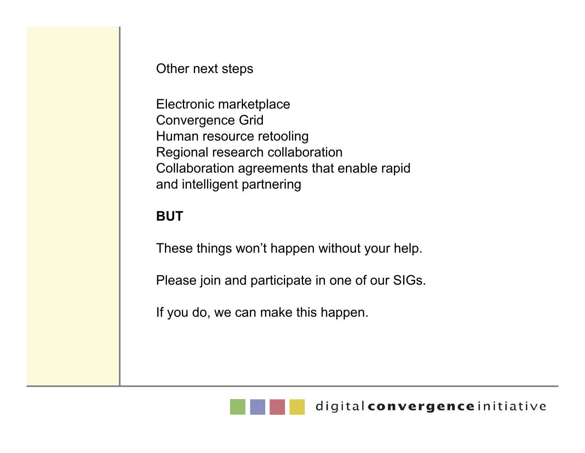Other next steps

Electronic marketplace Convergence Grid Human resource retooling Regional research collaboration Collaboration agreements that enable rapid and intelligent partnering

#### **BUT**

These things won't happen without your help.

Please join and participate in one of our SIGs.

If you do, we can make this happen.